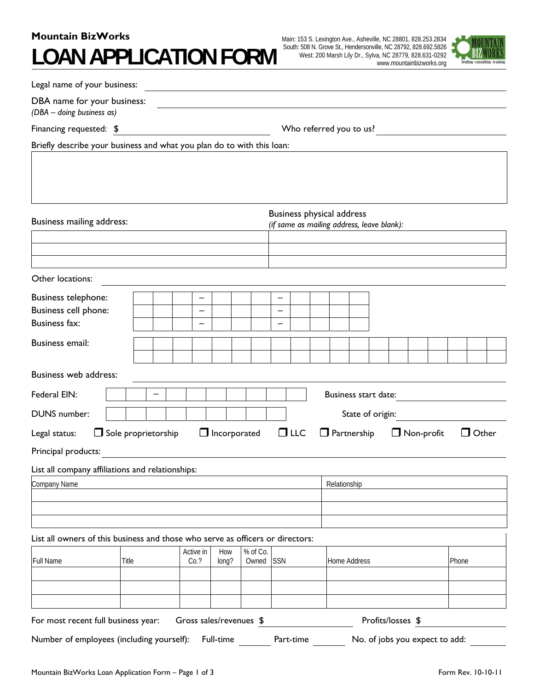# **Mountain BizWorks LOAN APPLICATION FORM**



| Legal name of your business:                                                                                |                            |                   |                         |  |          |            |            |                         |              |                    |                      |  |                   |                                |       |              |  |
|-------------------------------------------------------------------------------------------------------------|----------------------------|-------------------|-------------------------|--|----------|------------|------------|-------------------------|--------------|--------------------|----------------------|--|-------------------|--------------------------------|-------|--------------|--|
| DBA name for your business:<br>(DBA - doing business as)                                                    |                            |                   |                         |  |          |            |            |                         |              |                    |                      |  |                   |                                |       |              |  |
| Financing requested: \$                                                                                     |                            |                   |                         |  |          |            |            | Who referred you to us? |              |                    |                      |  |                   |                                |       |              |  |
| Briefly describe your business and what you plan do to with this loan:                                      |                            |                   |                         |  |          |            |            |                         |              |                    |                      |  |                   |                                |       |              |  |
|                                                                                                             |                            |                   |                         |  |          |            |            |                         |              |                    |                      |  |                   |                                |       |              |  |
| <b>Business physical address</b><br>Business mailing address:<br>(if same as mailing address, leave blank): |                            |                   |                         |  |          |            |            |                         |              |                    |                      |  |                   |                                |       |              |  |
|                                                                                                             |                            |                   |                         |  |          |            |            |                         |              |                    |                      |  |                   |                                |       |              |  |
| Other locations:                                                                                            |                            |                   |                         |  |          |            |            |                         |              |                    |                      |  |                   |                                |       |              |  |
| <b>Business telephone:</b>                                                                                  |                            |                   | $\qquad \qquad -$       |  |          | —          |            |                         |              |                    |                      |  |                   |                                |       |              |  |
| Business cell phone:                                                                                        |                            |                   | $\qquad \qquad$         |  |          | —          |            |                         |              |                    |                      |  |                   |                                |       |              |  |
| <b>Business fax:</b>                                                                                        |                            |                   |                         |  |          |            |            |                         |              |                    |                      |  |                   |                                |       |              |  |
| <b>Business email:</b>                                                                                      |                            |                   |                         |  |          |            |            |                         |              |                    |                      |  |                   |                                |       |              |  |
| Business web address:                                                                                       |                            |                   |                         |  |          |            |            |                         |              |                    |                      |  |                   |                                |       |              |  |
| Federal EIN:                                                                                                |                            |                   |                         |  |          |            |            |                         |              |                    | Business start date: |  |                   |                                |       |              |  |
| DUNS number:                                                                                                | State of origin:           |                   |                         |  |          |            |            |                         |              |                    |                      |  |                   |                                |       |              |  |
| Legal status:                                                                                               | $\Box$ Sole proprietorship |                   | $\Box$ Incorporated     |  |          |            | $\Box$ LLC |                         |              | $\Box$ Partnership |                      |  | $\Box$ Non-profit |                                |       | $\Box$ Other |  |
| Principal products:                                                                                         |                            |                   |                         |  |          |            |            |                         |              |                    |                      |  |                   |                                |       |              |  |
| List all company affiliations and relationships:                                                            |                            |                   |                         |  |          |            |            |                         |              |                    |                      |  |                   |                                |       |              |  |
| Company Name                                                                                                |                            |                   |                         |  |          |            |            |                         | Relationship |                    |                      |  |                   |                                |       |              |  |
|                                                                                                             |                            |                   |                         |  |          |            |            |                         |              |                    |                      |  |                   |                                |       |              |  |
|                                                                                                             |                            |                   |                         |  |          |            |            |                         |              |                    |                      |  |                   |                                |       |              |  |
| List all owners of this business and those who serve as officers or directors:                              |                            |                   |                         |  |          |            |            |                         |              |                    |                      |  |                   |                                |       |              |  |
| Full Name                                                                                                   |                            | Active in<br>Co.? | How                     |  | % of Co. | <b>SSN</b> |            |                         |              |                    |                      |  |                   |                                |       |              |  |
|                                                                                                             | Title                      |                   | long?                   |  | Owned    |            |            |                         |              | Home Address       |                      |  |                   |                                | Phone |              |  |
|                                                                                                             |                            |                   |                         |  |          |            |            |                         |              |                    |                      |  |                   |                                |       |              |  |
|                                                                                                             |                            |                   |                         |  |          |            |            |                         |              |                    |                      |  |                   |                                |       |              |  |
| For most recent full business year:                                                                         |                            |                   | Gross sales/revenues \$ |  |          |            |            |                         |              |                    | Profits/losses \$    |  |                   |                                |       |              |  |
| Number of employees (including yourself):                                                                   |                            |                   | Full-time               |  |          |            | Part-time  |                         |              |                    |                      |  |                   | No. of jobs you expect to add: |       |              |  |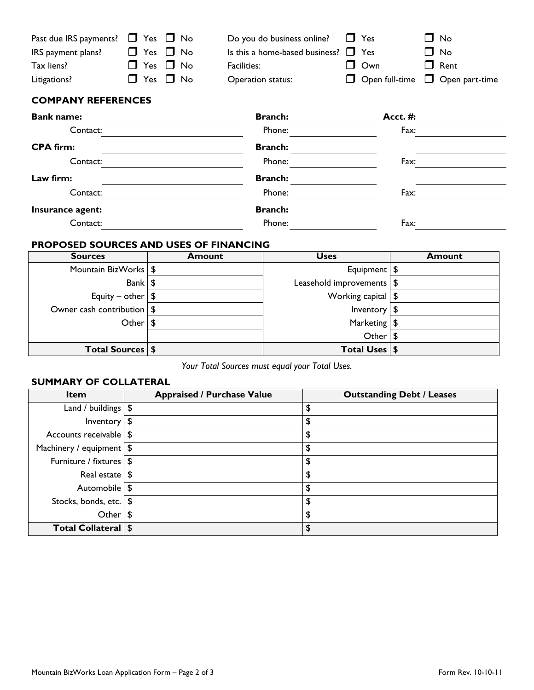| Past due IRS payments? $\Box$ Yes $\Box$ No |                      | Do you do business online? $\Box$ Yes     |            | $\square$ No                      |
|---------------------------------------------|----------------------|-------------------------------------------|------------|-----------------------------------|
| IRS payment plans?                          | $\Box$ Yes $\Box$ No | Is this a home-based business? $\Box$ Yes |            | $\Box$ No                         |
| Tax liens?                                  | $\Box$ Yes $\Box$ No | Facilities:                               | $\Box$ Own | $\Box$ Rent                       |
| Litigations?                                | $\Box$ Yes $\Box$ No | Operation status:                         |            | □ Open full-time □ Open part-time |

# **COMPANY REFERENCES**

| <b>Bank name:</b> | <b>Branch:</b> | <b>Acct. #:</b> |
|-------------------|----------------|-----------------|
| Contact:          | Phone:         | Fax:            |
| <b>CPA firm:</b>  | <b>Branch:</b> |                 |
| Contact:          | Phone:         | Fax:            |
| Law firm:         | <b>Branch:</b> |                 |
| Contact:          | Phone:         | Fax:            |
| Insurance agent:  | <b>Branch:</b> |                 |
| Contact:          | Phone:         | Fax:            |

## **PROPOSED SOURCES AND USES OF FINANCING**

| <b>Sources</b>               | <b>Amount</b> | <b>Uses</b>                   | <b>Amount</b> |
|------------------------------|---------------|-------------------------------|---------------|
| Mountain BizWorks   \$       |               | Equipment   \$                |               |
| Bank $\sqrt{S}$              |               | Leasehold improvements   \$   |               |
| Equity – other $\frac{1}{2}$ |               | Working capital $\frac{1}{2}$ |               |
| Owner cash contribution   \$ |               | Inventory $\frac{1}{2}$       |               |
| Other $\frac{1}{3}$          |               | Marketing $\frac{1}{2}$       |               |
|                              |               | Other $\frac{1}{3}$           |               |
| Total Sources   \$           |               | Total Uses   \$               |               |

*Your Total Sources must equal your Total Uses.* 

# **SUMMARY OF COLLATERAL**

| <b>Item</b>                 | <b>Appraised / Purchase Value</b> | <b>Outstanding Debt / Leases</b> |
|-----------------------------|-----------------------------------|----------------------------------|
| Land / buildings $\sqrt{2}$ |                                   | \$                               |
| Inventory $\frac{1}{2}$     |                                   | \$                               |
| Accounts receivable   \$    |                                   | \$                               |
| Machinery / equipment   \$  |                                   | \$                               |
| Furniture / fixtures   \$   |                                   | \$                               |
| Real estate $\frac{1}{2}$   |                                   | \$                               |
| Automobile   \$             |                                   | \$                               |
| Stocks, bonds, etc.   \$    |                                   | \$                               |
| Other                       | \$                                | \$                               |
| Total Collateral   \$       |                                   | \$                               |